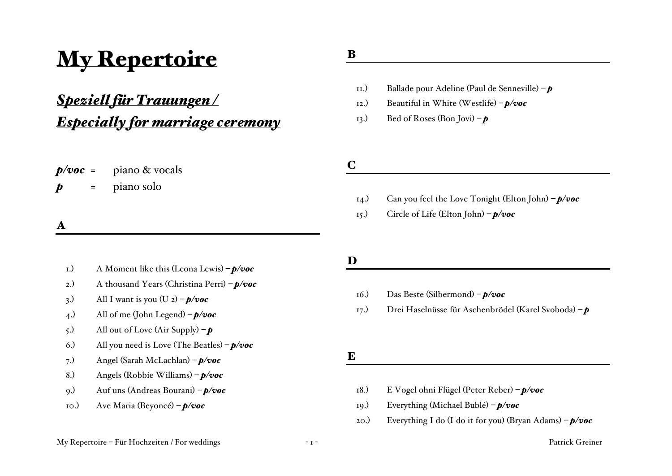# My Repertoire

## *Speziell für Trauungen / Especially for marriage ceremony*

| $p/voc =$        |     | piano & vocals |
|------------------|-----|----------------|
| $\boldsymbol{p}$ | $=$ | piano solo     |

A

#### 1.) A Moment like this (Leona Lewis) *– p/voc*

- 2.) A thousand Years (Christina Perri) *– p/voc*
- 3.) All I want is you  $(U_2) p/voc$
- 4.) All of me (John Legend) *– p/voc*
- 5.) All out of Love (Air Supply) *– p*
- 6.) All you need is Love (The Beatles) *– p/voc*
- 7.) Angel (Sarah McLachlan) *– p/voc*
- 8.) Angels (Robbie Williams) *– p/voc*
- 9.) Auf uns (Andreas Bourani) *– p/voc*
- 10.) Ave Maria (Beyoncé) *– p/voc*

### B

- 11.) Ballade pour Adeline (Paul de Senneville) *– p*
- 12.) Beautiful in White (Westlife) *– p/voc*
- 13.) Bed of Roses (Bon Jovi) *– p*

C

- 14.) Can you feel the Love Tonight (Elton John) *– p/voc*
- 15.) Circle of Life (Elton John) *– p/voc*

#### D

- 16.) Das Beste (Silbermond) *– p/voc*
- 17.) Drei Haselnüsse für Aschenbrödel (Karel Svoboda) *– p*

E

- 18.) E Vogel ohni Flügel (Peter Reber) *– p/voc*
- 19.) Everything (Michael Bublé) *– p/voc*
- 20.) Everything I do (I do it for you) (Bryan Adams) *– p/voc*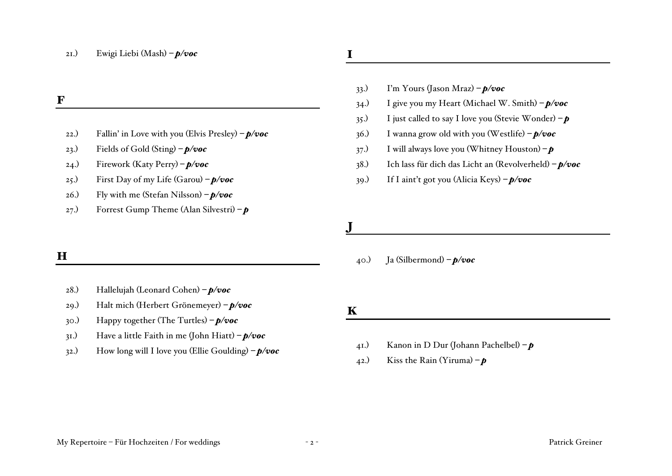21.) Ewigi Liebi (Mash) *– p/voc*

- 22.) Fallin' in Love with you (Elvis Presley) *– p/voc*
- 23.) Fields of Gold (Sting) *– p/voc*
- 24.) Firework (Katy Perry) *– p/voc*
- 25.) First Day of my Life (Garou) *– p/voc*
- 26.) Fly with me (Stefan Nilsson) *– p/voc*
- 27.) Forrest Gump Theme (Alan Silvestri) *– p*

#### H

- 28.) Hallelujah (Leonard Cohen) *– p/voc*
- 29.) Halt mich (Herbert Grönemeyer) *– p/voc*
- 30.) Happy together (The Turtles) *– p/voc*
- 31.) Have a little Faith in me (John Hiatt) *– p/voc*
- 32.) How long will I love you (Ellie Goulding) *– p/voc*

## I

- 33.) I'm Yours (Jason Mraz) *– p/voc*
- 34.) I give you my Heart (Michael W. Smith) *– p/voc*
- 35.) I just called to say I love you (Stevie Wonder) *– p*
- 36.) I wanna grow old with you (Westlife) *– p/voc*
- 37.) I will always love you (Whitney Houston) *– p*
- 38.) Ich lass für dich das Licht an (Revolverheld) *– p/voc*
- 39.) If I aint't got you (Alicia Keys) *– p/voc*

40.) Ja (Silbermond) *– p/voc*

### K

J

- 41.) Kanon in D Dur (Johann Pachelbel) *– p*
- 42.) Kiss the Rain (Yiruma)  $-\boldsymbol{p}$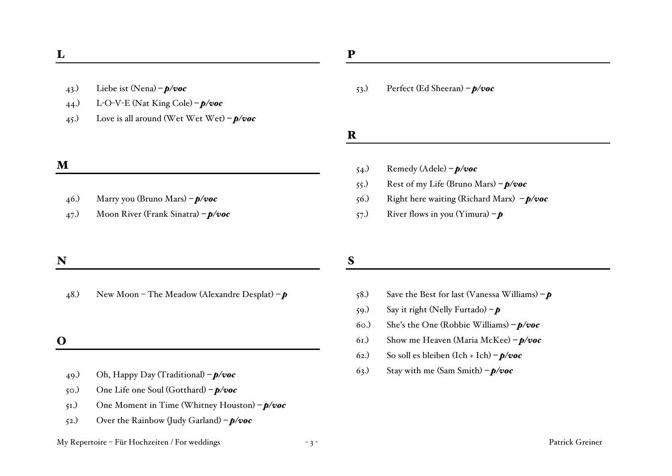- 43.) Liebe ist (Nena) *– p/voc*
- 44.) L-O-V-E (Nat King Cole) *– p/voc*
- 45.) Love is all around (Wet Wet Wet) *– p/voc*

#### M

- 46.) Marry you (Bruno Mars) *– p/voc*
- 47.) Moon River (Frank Sinatra) *– p/voc*

#### N

48.) New Moon – The Meadow (Alexandre Desplat) *– p*

#### O

- 49.) Oh, Happy Day (Traditional) *– p/voc*
- 50.) One Life one Soul (Gotthard) *– p/voc*
- 51.) One Moment in Time (Whitney Houston) *– p/voc*
- 52.) Over the Rainbow (Judy Garland) *– p/voc*

#### My Repertoire – Für Hochzeiten / For weddings - 3 - Patrick Greiner

#### 53.) Perfect (Ed Sheeran) *– p/voc*

R

- 54.) Remedy (Adele) *– p/voc*
- 55.) Rest of my Life (Bruno Mars) *– p/voc*
- 56.) Right here waiting (Richard Marx) *– p/voc*
- 57.) River flows in you (Yimura) *– p*

#### S

- 58.) Save the Best for last (Vanessa Williams) *– p*
- 59.) Say it right (Nelly Furtado) *– p*
- 60.) She's the One (Robbie Williams) *– p/voc*
- 61.) Show me Heaven (Maria McKee) *– p/voc*
- 62.) So soll es bleiben (Ich + Ich) *– p/voc*
- 63.) Stay with me (Sam Smith) *– p/voc*